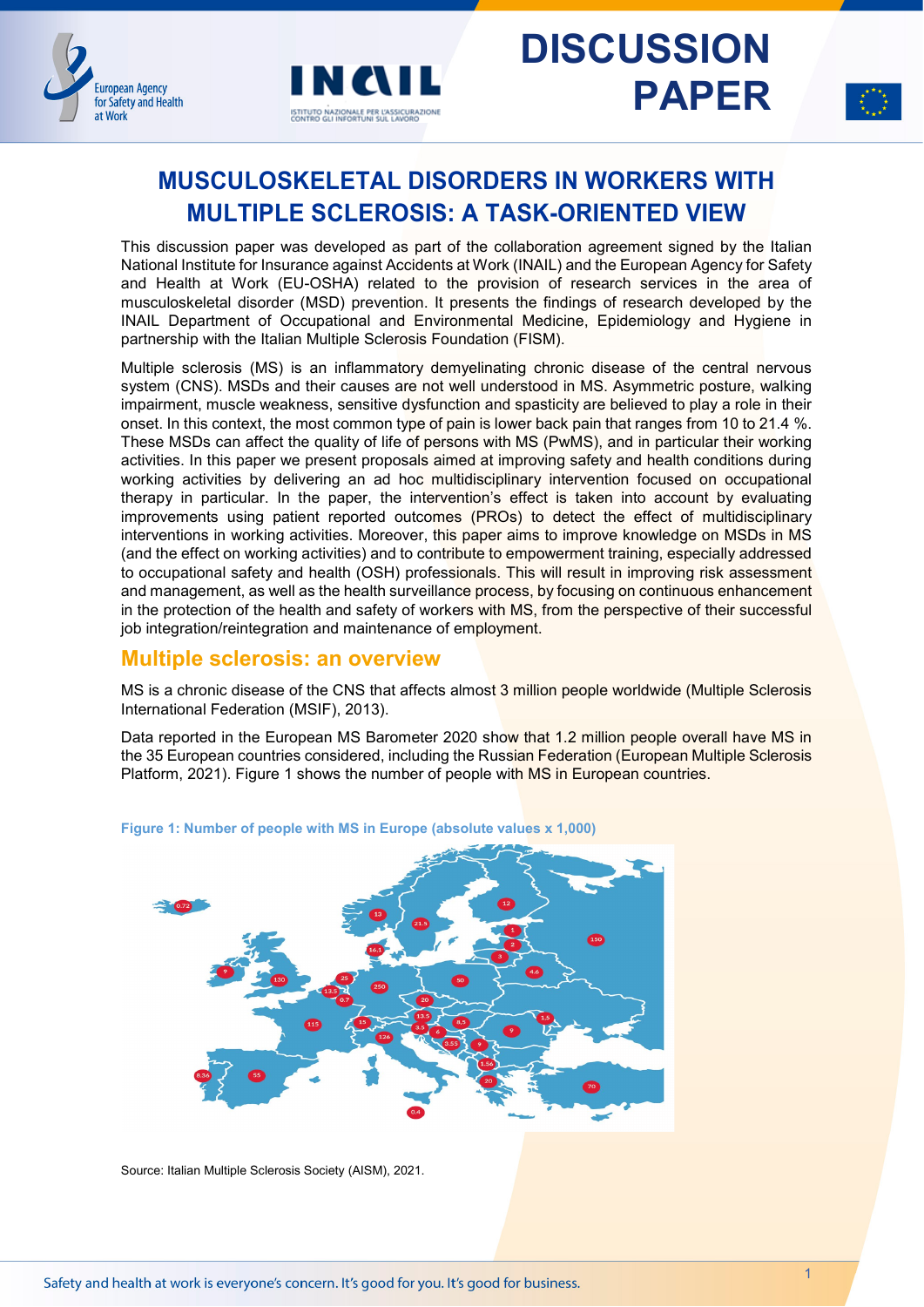

**European Agency** for Safety and Health

at Work



# **MUSCULOSKELETAL DISORDERS IN WORKERS WITH MULTIPLE SCLEROSIS: A TASK-ORIENTED VIEW**

This discussion paper was developed as part of the collaboration agreement signed by the Italian National Institute for Insurance against Accidents at Work (INAIL) and the European Agency for Safety and Health at Work (EU-OSHA) related to the provision of research services in the area of musculoskeletal disorder (MSD) prevention. It presents the findings of research developed by the INAIL Department of Occupational and Environmental Medicine, Epidemiology and Hygiene in partnership with the Italian Multiple Sclerosis Foundation (FISM).

Multiple sclerosis (MS) is an inflammatory demyelinating chronic disease of the central nervous system (CNS). MSDs and their causes are not well understood in MS. Asymmetric posture, walking impairment, muscle weakness, sensitive dysfunction and spasticity are believed to play a role in their onset. In this context, the most common type of pain is lower back pain that ranges from 10 to 21.4 %. These MSDs can affect the quality of life of persons with MS (PwMS), and in particular their working activities. In this paper we present proposals aimed at improving safety and health conditions during working activities by delivering an ad hoc multidisciplinary intervention focused on occupational therapy in particular. In the paper, the intervention's effect is taken into account by evaluating improvements using patient reported outcomes (PROs) to detect the effect of multidisciplinary interventions in working activities. Moreover, this paper aims to improve knowledge on MSDs in MS (and the effect on working activities) and to contribute to empowerment training, especially addressed to occupational safety and health (OSH) professionals. This will result in improving risk assessment and management, as well as the health surveillance process, by focusing on continuous enhancement in the protection of the health and safety of workers with MS, from the perspective of their successful job integration/reintegration and maintenance of employment.

### **Multiple sclerosis: an overview**

MS is a chronic disease of the CNS that affects almost 3 million people worldwide (Multiple Sclerosis International Federation (MSIF), 2013).

Data reported in the European MS Barometer 2020 show that 1.2 million people overall have MS in the 35 European countries considered, including the Russian Federation (European Multiple Sclerosis Platform, 2021). Figure 1 shows the number of people with MS in European countries.



#### **Figure 1: Number of people with MS in Europe (absolute values x 1,000)**

Source: Italian Multiple Sclerosis Society (AISM), 2021.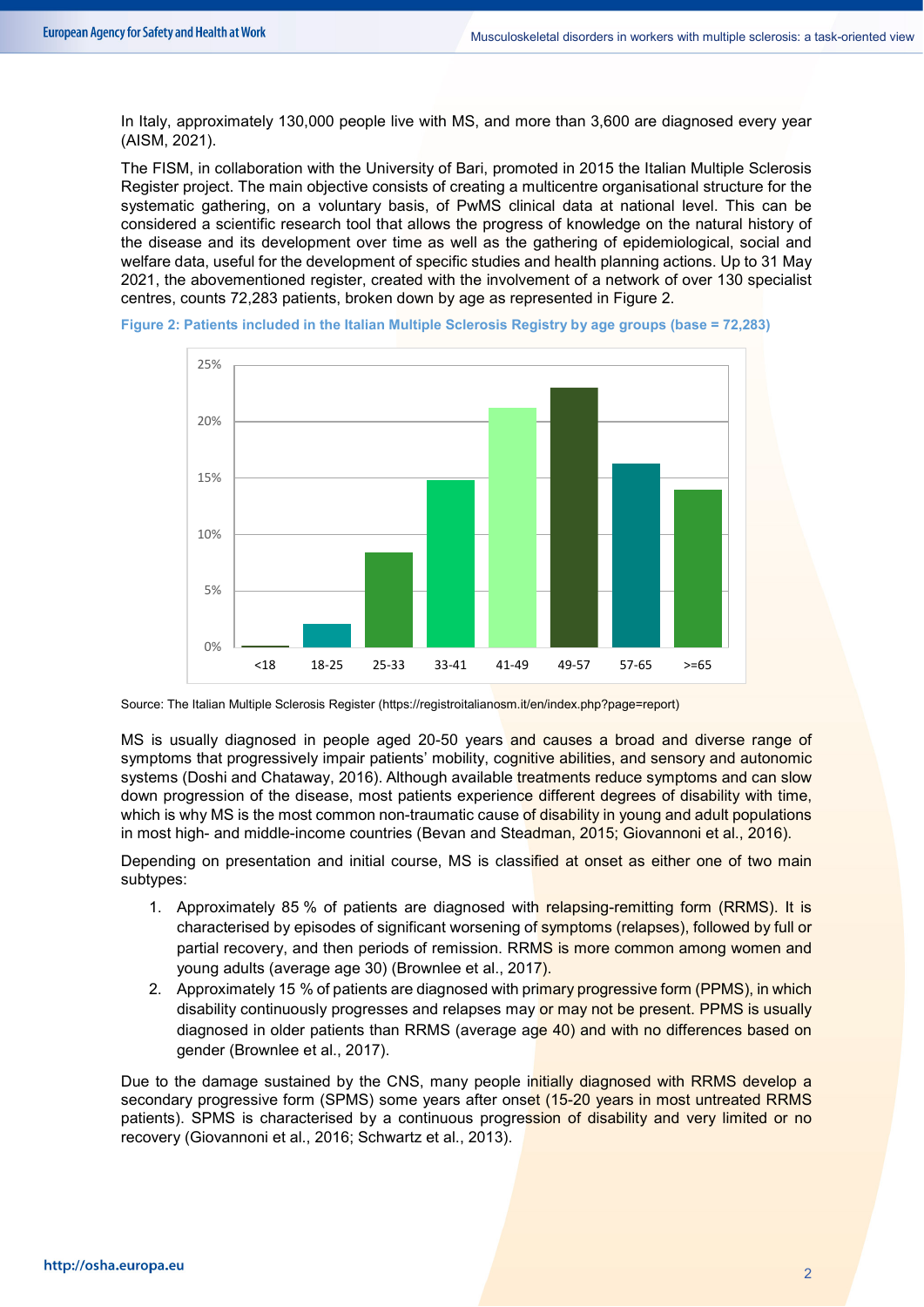In Italy, approximately 130,000 people live with MS, and more than 3,600 are diagnosed every year (AISM, 2021).

The FISM, in collaboration with the University of Bari, promoted in 2015 the Italian Multiple Sclerosis Register project. The main objective consists of creating a multicentre organisational structure for the systematic gathering, on a voluntary basis, of PwMS clinical data at national level. This can be considered a scientific research tool that allows the progress of knowledge on the natural history of the disease and its development over time as well as the gathering of epidemiological, social and welfare data, useful for the development of specific studies and health planning actions. Up to 31 May 2021, the abovementioned register, created with the involvement of a network of over 130 specialist centres, counts 72,283 patients, broken down by age as represented in Figure 2.



**Figure 2: Patients included in the Italian Multiple Sclerosis Registry by age groups (base = 72,283)**

Source: The Italian Multiple Sclerosis Register (https://registroitalianosm.it/en/index.php?page=report)

MS is usually diagnosed in people aged 20-50 years and causes a broad and diverse range of symptoms that progressively impair patients' mobility, cognitive abilities, and sensory and autonomic systems (Doshi and Chataway, 2016). Although available treatments reduce symptoms and can slow down progression of the disease, most patients experience different degrees of disability with time, which is why MS is the most common non-traumatic cause of disability in young and adult populations in most high- and middle-income countries (Bevan and Steadman, 2015; Giovannoni et al., 2016).

Depending on presentation and initial course, MS is classified at onset as either one of two main subtypes:

- 1. Approximately 85 % of patients are diagnosed with relapsing-remitting form (RRMS). It is characterised by episodes of significant worsening of symptoms (relapses), followed by full or partial recovery, and then periods of remission. RRMS is more common among women and young adults (average age 30) (Brownlee et al., 2017).
- 2. Approximately 15 % of patients are diagnosed with primary progressive form (PPMS), in which disability continuously progresses and relapses may or may not be present. PPMS is usually diagnosed in older patients than RRMS (average age 40) and with no differences based on gender (Brownlee et al., 2017).

Due to the damage sustained by the CNS, many people initially diagnosed with RRMS develop a secondary progressive form (SPMS) some years after onset (15-20 years in most untreated RRMS patients). SPMS is characterised by a continuous progression of disability and very limited or no recovery (Giovannoni et al., 2016; Schwartz et al., 2013).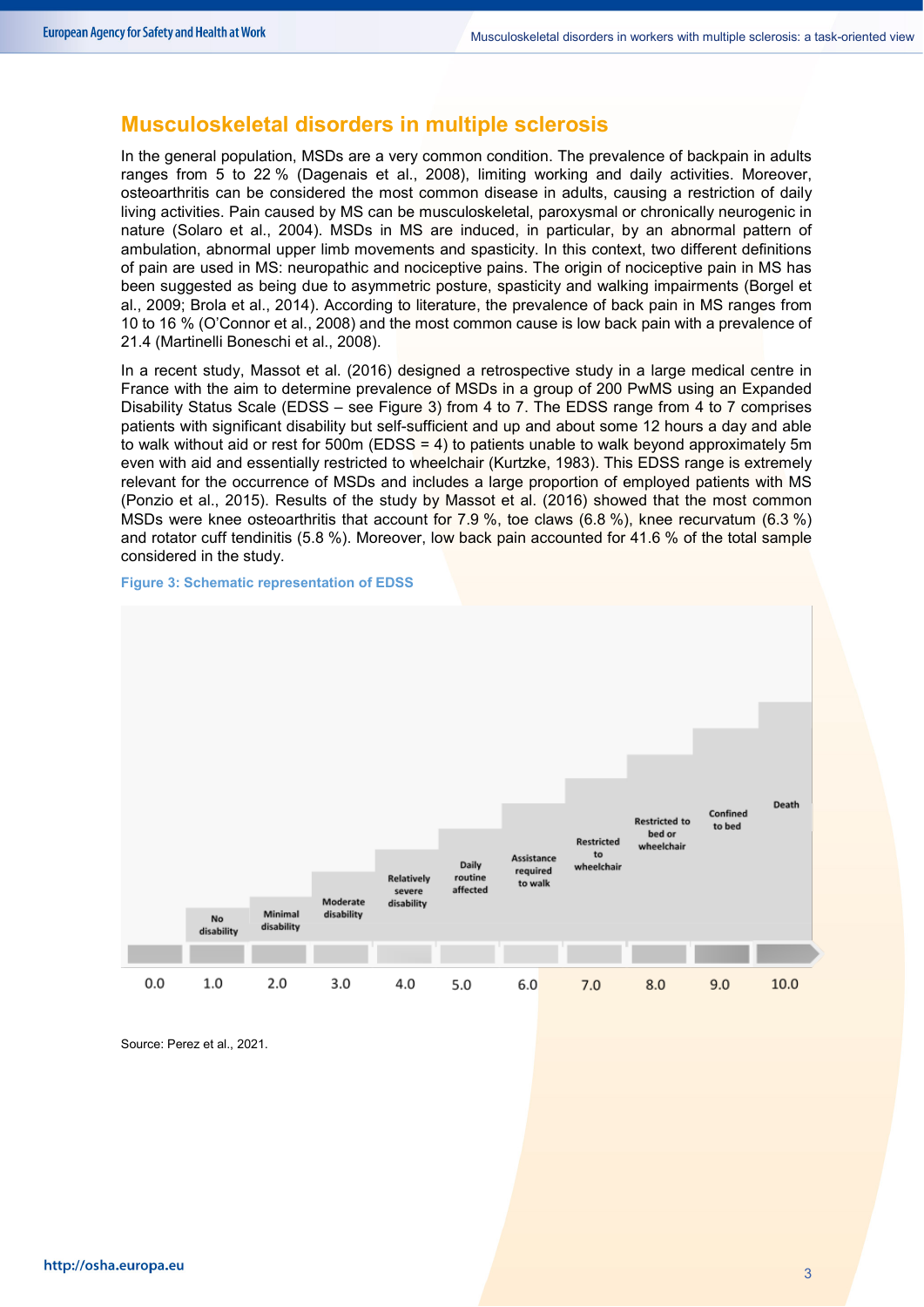### **Musculoskeletal disorders in multiple sclerosis**

In the general population, MSDs are a very common condition. The prevalence of backpain in adults ranges from 5 to 22 % (Dagenais et al., 2008), limiting working and daily activities. Moreover, osteoarthritis can be considered the most common disease in adults, causing a restriction of daily living activities. Pain caused by MS can be musculoskeletal, paroxysmal or chronically neurogenic in nature (Solaro et al., 2004). MSDs in MS are induced, in particular, by an abnormal pattern of ambulation, abnormal upper limb movements and spasticity. In this context, two different definitions of pain are used in MS: neuropathic and nociceptive pains. The origin of nociceptive pain in MS has been suggested as being due to asymmetric posture, spasticity and walking impairments (Borgel et al., 2009; Brola et al., 2014). According to literature, the prevalence of back pain in MS ranges from 10 to 16 % (O'Connor et al., 2008) and the most common cause is low back pain with a prevalence of 21.4 (Martinelli Boneschi et al., 2008).

In a recent study, Massot et al. (2016) designed a retrospective study in a large medical centre in France with the aim to determine prevalence of MSDs in a group of 200 PwMS using an Expanded Disability Status Scale (EDSS – see Figure 3) from 4 to 7. The EDSS range from 4 to 7 comprises patients with significant disability but self-sufficient and up and about some 12 hours a day and able to walk without aid or rest for 500m (EDSS = 4) to patients unable to walk beyond approximately 5m even with aid and essentially restricted to wheelchair (Kurtzke, 1983). This EDSS range is extremely relevant for the occurrence of MSDs and includes a large proportion of employed patients with MS (Ponzio et al., 2015). Results of the study by Massot et al. (2016) showed that the most common MSDs were knee osteoarthritis that account for 7.9 %, toe claws (6.8 %), knee recurvatum (6.3 %) and rotator cuff tendinitis (5.8 %). Moreover, low back pain accounted for 41.6 % of the total sample considered in the study.

**Figure 3: Schematic representation of EDSS** 



Source: Perez et al., 2021.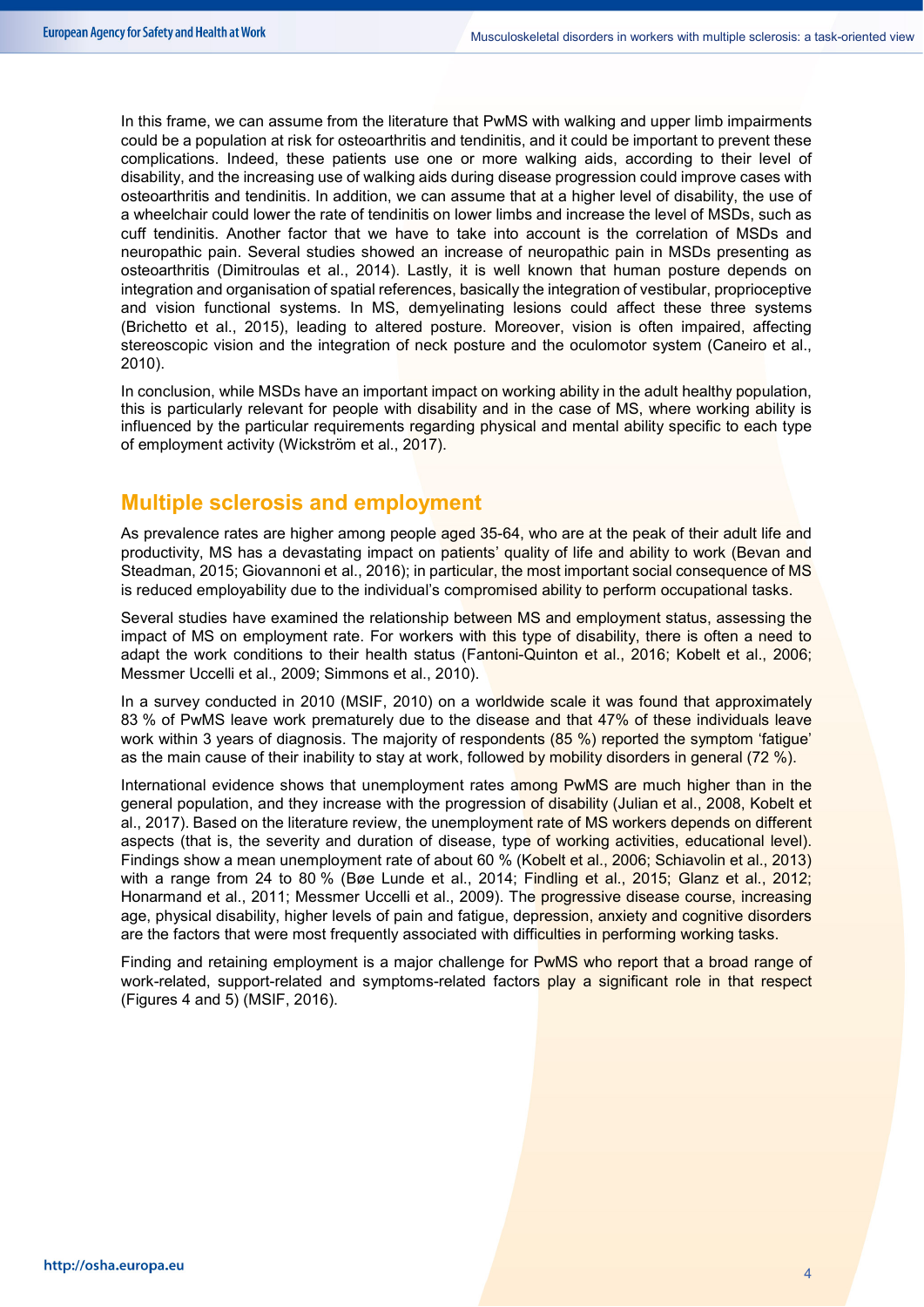In this frame, we can assume from the literature that PwMS with walking and upper limb impairments could be a population at risk for osteoarthritis and tendinitis, and it could be important to prevent these complications. Indeed, these patients use one or more walking aids, according to their level of disability, and the increasing use of walking aids during disease progression could improve cases with osteoarthritis and tendinitis. In addition, we can assume that at a higher level of disability, the use of a wheelchair could lower the rate of tendinitis on lower limbs and increase the level of MSDs, such as cuff tendinitis. Another factor that we have to take into account is the correlation of MSDs and neuropathic pain. Several studies showed an increase of neuropathic pain in MSDs presenting as osteoarthritis (Dimitroulas et al., 2014). Lastly, it is well known that human posture depends on integration and organisation of spatial references, basically the integration of vestibular, proprioceptive and vision functional systems. In MS, demyelinating lesions could affect these three systems (Brichetto et al., 2015), leading to altered posture. Moreover, vision is often impaired, affecting stereoscopic vision and the integration of neck posture and the oculomotor system (Caneiro et al., 2010).

In conclusion, while MSDs have an important impact on working ability in the adult healthy population, this is particularly relevant for people with disability and in the case of MS, where working ability is influenced by the particular requirements regarding physical and mental ability specific to each type of employment activity (Wickström et al., 2017).

### **Multiple sclerosis and employment**

As prevalence rates are higher among people aged 35-64, who are at the peak of their adult life and productivity, MS has a devastating impact on patients' quality of life and ability to work (Bevan and Steadman, 2015; Giovannoni et al., 2016); in particular, the most important social consequence of MS is reduced employability due to the individual's compromised ability to perform occupational tasks.

Several studies have examined the relationship between MS and employment status, assessing the impact of MS on employment rate. For workers with this type of disability, there is often a need to adapt the work conditions to their health status (Fantoni-Quinton et al., 2016; Kobelt et al., 2006; Messmer Uccelli et al., 2009; Simmons et al., 2010).

In a survey conducted in 2010 (MSIF, 2010) on a worldwide scale it was found that approximately 83 % of PwMS leave work prematurely due to the disease and that 47% of these individuals leave work within 3 years of diagnosis. The majority of respondents (85 %) reported the symptom 'fatigue' as the main cause of their inability to stay at work, followed by mobility disorders in general (72 %).

International evidence shows that unemployment rates among PwMS are much higher than in the general population, and they increase with the progression of disability (Julian et al., 2008, Kobelt et al., 2017). Based on the literature review, the unemployment rate of MS workers depends on different aspects (that is, the severity and duration of disease, type of working activities, educational level). Findings show a mean unemployment rate of about 60 % (Kobelt et al., 2006; Schiavolin et al., 2013) with a range from 24 to 80 % (Bøe Lunde et al., 2014; Findling et al., 2015; Glanz et al., 2012; Honarmand et al., 2011; Messmer Uccelli et al., 2009). The progressive disease course, increasing age, physical disability, higher levels of pain and fatigue, depression, anxiety and cognitive disorders are the factors that were most frequently associated with difficulties in performing working tasks.

Finding and retaining employment is a major challenge for PwMS who report that a broad range of work-related, support-related and symptoms-related factors play a significant role in that respect (Figures 4 and 5) (MSIF, 2016).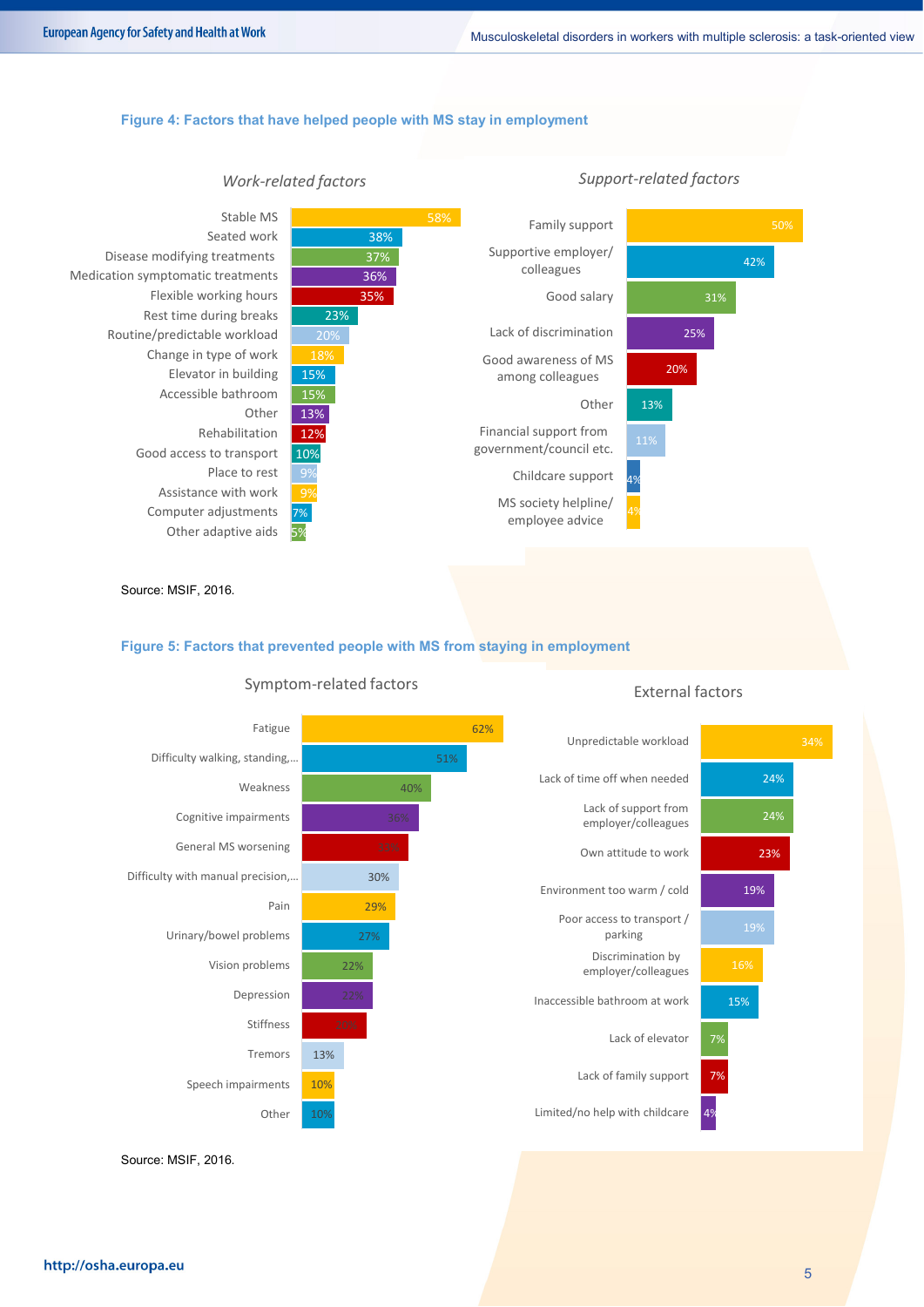#### **Figure 4: Factors that have helped people with MS stay in employment**



*Work-related factors* 



#### Source: MSIF, 2016.

#### **Figure 5: Factors that prevented people with MS from staying in employment**



Symptom-related factors

### External factors



Source: MSIF, 2016.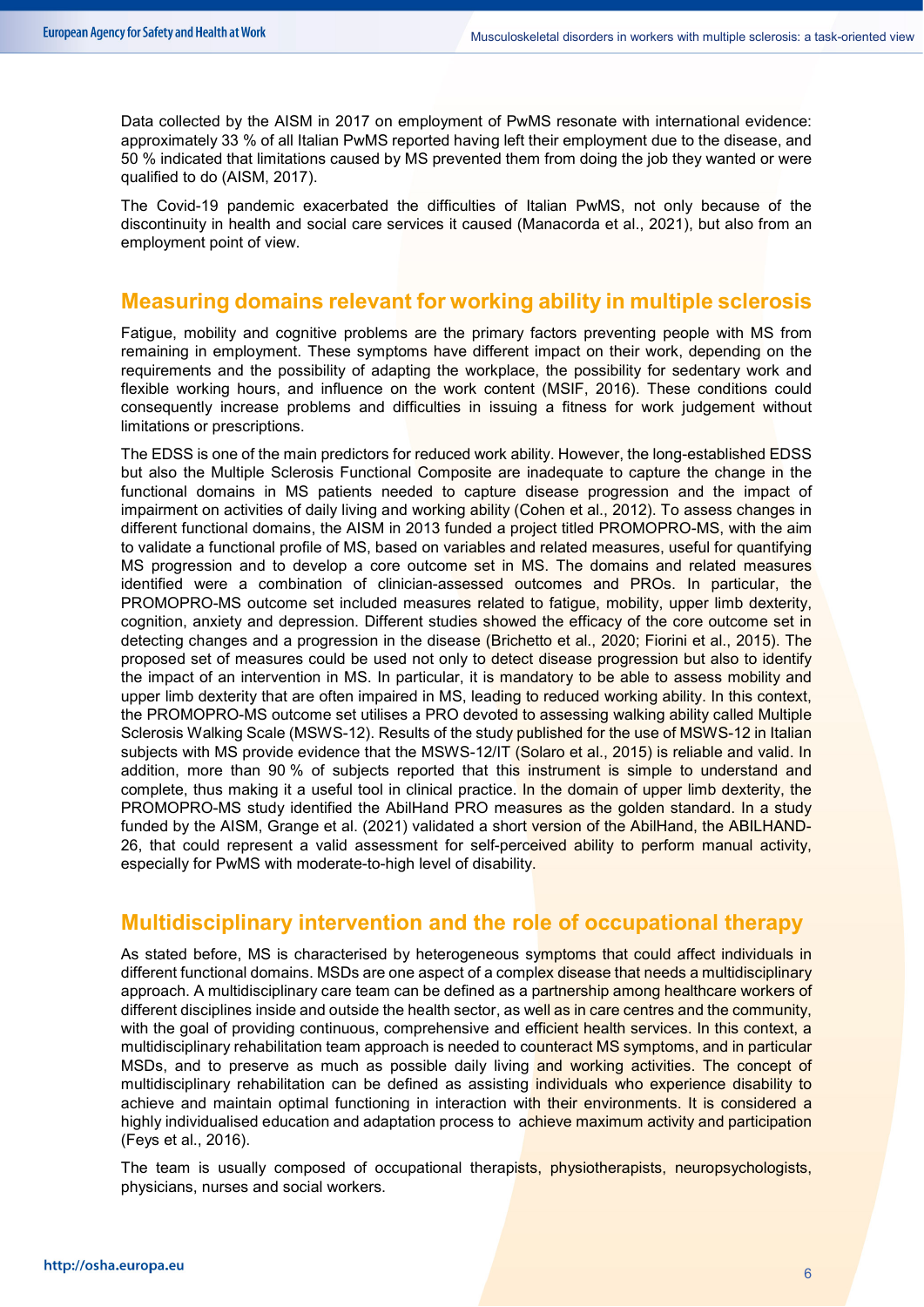Data collected by the AISM in 2017 on employment of PwMS resonate with international evidence: approximately 33 % of all Italian PwMS reported having left their employment due to the disease, and 50 % indicated that limitations caused by MS prevented them from doing the job they wanted or were qualified to do (AISM, 2017).

The Covid-19 pandemic exacerbated the difficulties of Italian PwMS, not only because of the discontinuity in health and social care services it caused (Manacorda et al., 2021), but also from an employment point of view.

### **Measuring domains relevant for working ability in multiple sclerosis**

Fatigue, mobility and cognitive problems are the primary factors preventing people with MS from remaining in employment. These symptoms have different impact on their work, depending on the requirements and the possibility of adapting the workplace, the possibility for sedentary work and flexible working hours, and influence on the work content (MSIF, 2016). These conditions could consequently increase problems and difficulties in issuing a fitness for work judgement without limitations or prescriptions.

The EDSS is one of the main predictors for reduced work ability. However, the long-established EDSS but also the Multiple Sclerosis Functional Composite are inadequate to capture the change in the functional domains in MS patients needed to capture disease progression and the impact of impairment on activities of daily living and working ability (Cohen et al., 2012). To assess changes in different functional domains, the AISM in 2013 funded a project titled PROMOPRO-MS, with the aim to validate a functional profile of MS, based on variables and related measures, useful for quantifying MS progression and to develop a core outcome set in MS. The domains and related measures identified were a combination of clinician-assessed outcomes and PROs. In particular, the PROMOPRO-MS outcome set included measures related to fatigue, mobility, upper limb dexterity, cognition, anxiety and depression. Different studies showed the efficacy of the core outcome set in detecting changes and a progression in the disease (Brichetto et al., 2020; Fiorini et al., 2015). The proposed set of measures could be used not only to detect disease progression but also to identify the impact of an intervention in MS. In particular, it is mandatory to be able to assess mobility and upper limb dexterity that are often impaired in MS, leading to reduced working ability. In this context, the PROMOPRO-MS outcome set utilises a PRO devoted to assessing walking ability called Multiple Sclerosis Walking Scale (MSWS-12). Results of the study published for the use of MSWS-12 in Italian subjects with MS provide evidence that the MSWS-12/IT (Solaro et al., 2015) is reliable and valid. In addition, more than 90 % of subjects reported that this instrument is simple to understand and complete, thus making it a useful tool in clinical practice. In the domain of upper limb dexterity, the PROMOPRO-MS study identified the AbilHand PRO measures as the golden standard. In a study funded by the AISM, Grange et al. (2021) validated a short version of the AbilHand, the ABILHAND-26, that could represent a valid assessment for self-perceived ability to perform manual activity, especially for PwMS with moderate-to-high level of disability.

### **Multidisciplinary intervention and the role of occupational therapy**

As stated before, MS is characterised by heterogeneous symptoms that could affect individuals in different functional domains. MSDs are one aspect of a complex disease that needs a multidisciplinary approach. A multidisciplinary care team can be defined as a partnership among healthcare workers of different disciplines inside and outside the health sector, as well as in care centres and the community, with the goal of providing continuous, comprehensive and efficient health services. In this context, a multidisciplinary rehabilitation team approach is needed to counteract MS symptoms, and in particular MSDs, and to preserve as much as possible daily living and working activities. The concept of multidisciplinary rehabilitation can be defined as assisting individuals who experience disability to achieve and maintain optimal functioning in interaction with their environments. It is considered a highly individualised education and adaptation process to achieve maximum activity and participation (Feys et al., 2016).

The team is usually composed of occupational therapists, physiotherapists, neuropsychologists, physicians, nurses and social workers.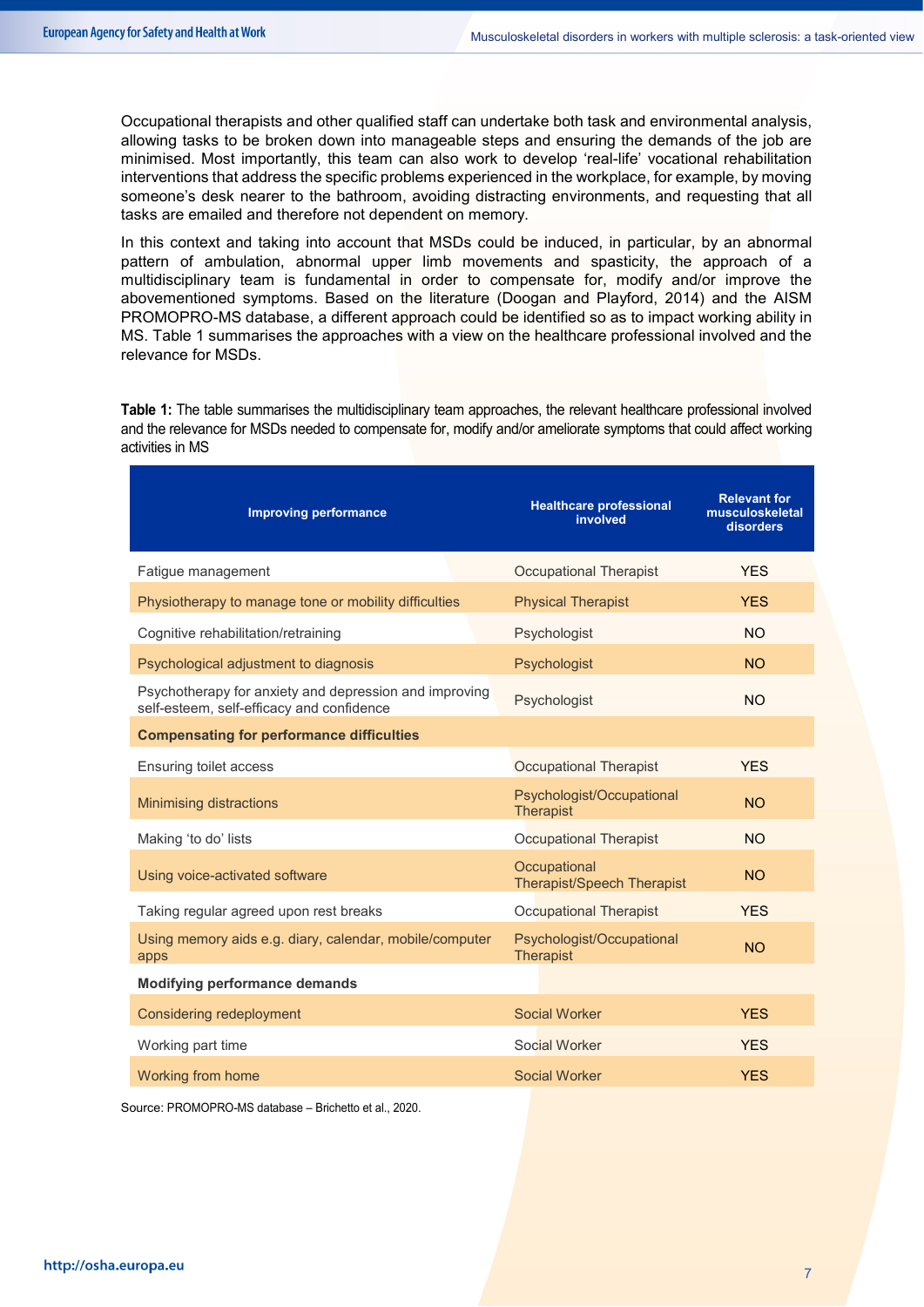Occupational therapists and other qualified staff can undertake both task and environmental analysis, allowing tasks to be broken down into manageable steps and ensuring the demands of the job are minimised. Most importantly, this team can also work to develop 'real-life' vocational rehabilitation interventions that address the specific problems experienced in the workplace, for example, by moving someone's desk nearer to the bathroom, avoiding distracting environments, and requesting that all tasks are emailed and therefore not dependent on memory.

In this context and taking into account that MSDs could be induced, in particular, by an abnormal pattern of ambulation, abnormal upper limb movements and spasticity, the approach of a multidisciplinary team is fundamental in order to compensate for, modify and/or improve the abovementioned symptoms. Based on the literature (Doogan and Playford, 2014) and the AISM PROMOPRO-MS database, a different approach could be identified so as to impact working ability in MS. Table 1 summarises the approaches with a view on the healthcare professional involved and the relevance for MSDs.

**Table 1:** The table summarises the multidisciplinary team approaches, the relevant healthcare professional involved and the relevance for MSDs needed to compensate for, modify and/or ameliorate symptoms that could affect working activities in MS

| <b>Improving performance</b>                                                                        | <b>Healthcare professional</b><br>involved        | <b>Relevant for</b><br>musculoskeletal<br>disorders |
|-----------------------------------------------------------------------------------------------------|---------------------------------------------------|-----------------------------------------------------|
| Fatigue management                                                                                  | <b>Occupational Therapist</b>                     | <b>YFS</b>                                          |
| Physiotherapy to manage tone or mobility difficulties                                               | <b>Physical Therapist</b>                         | <b>YES</b>                                          |
| Cognitive rehabilitation/retraining                                                                 | Psychologist                                      | <b>NO</b>                                           |
| Psychological adjustment to diagnosis                                                               | Psychologist                                      | NO <sub>1</sub>                                     |
| Psychotherapy for anxiety and depression and improving<br>self-esteem, self-efficacy and confidence | Psychologist                                      | <b>NO</b>                                           |
| <b>Compensating for performance difficulties</b>                                                    |                                                   |                                                     |
| Ensuring toilet access                                                                              | <b>Occupational Therapist</b>                     | <b>YFS</b>                                          |
| <b>Minimising distractions</b>                                                                      | Psychologist/Occupational<br><b>Therapist</b>     | <b>NO</b>                                           |
| Making 'to do' lists                                                                                | <b>Occupational Therapist</b>                     | <b>NO</b>                                           |
| Using voice-activated software                                                                      | Occupational<br><b>Therapist/Speech Therapist</b> | <b>NO</b>                                           |
| Taking regular agreed upon rest breaks                                                              | <b>Occupational Therapist</b>                     | <b>YES</b>                                          |
| Using memory aids e.g. diary, calendar, mobile/computer<br>apps                                     | Psychologist/Occupational<br><b>Therapist</b>     | <b>NO</b>                                           |
| <b>Modifying performance demands</b>                                                                |                                                   |                                                     |
| Considering redeployment                                                                            | <b>Social Worker</b>                              | <b>YES</b>                                          |
| Working part time                                                                                   | Social Worker                                     | <b>YES</b>                                          |
| Working from home                                                                                   | <b>Social Worker</b>                              | <b>YES</b>                                          |

Source: PROMOPRO-MS database – Brichetto et al., 2020.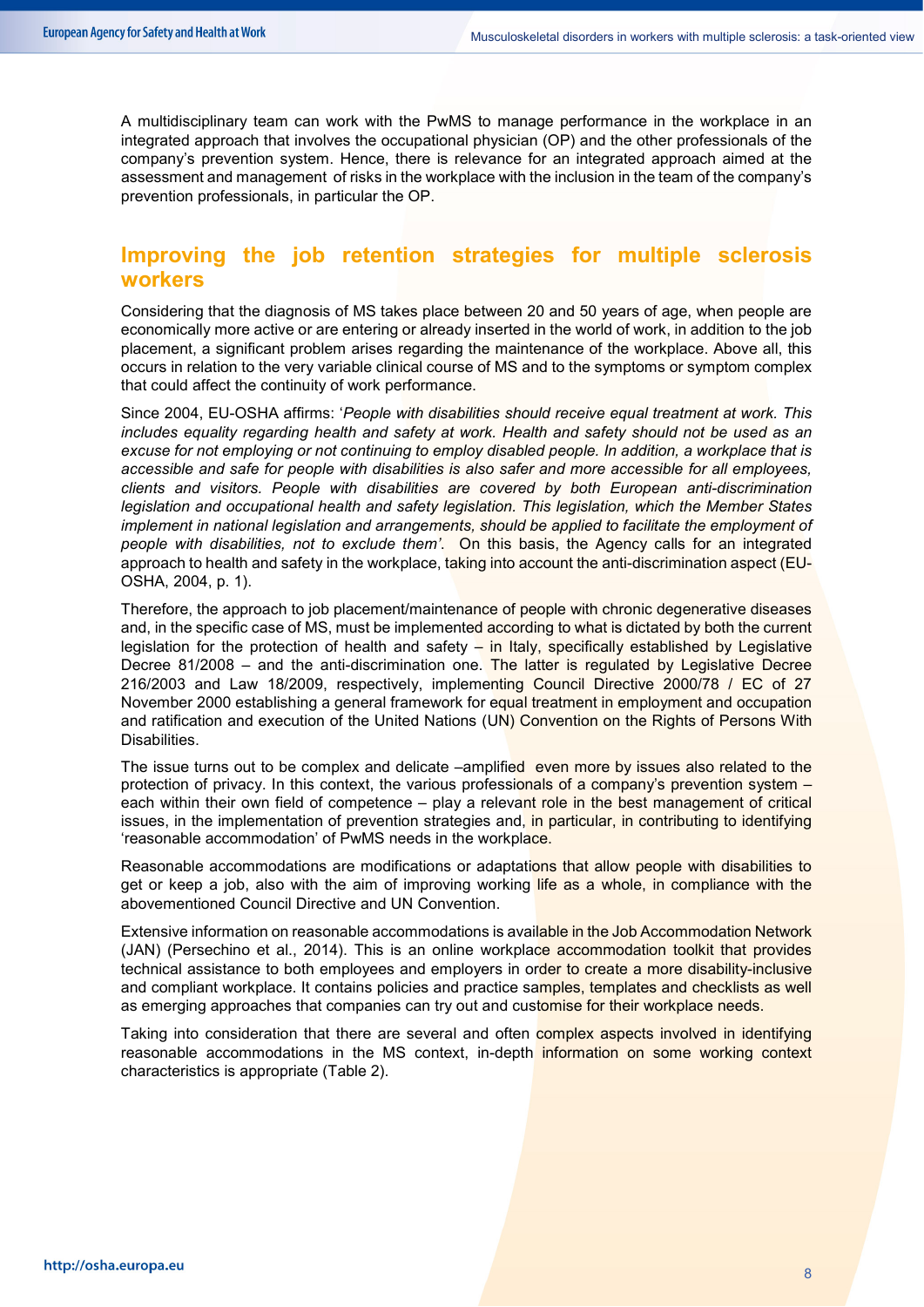A multidisciplinary team can work with the PwMS to manage performance in the workplace in an integrated approach that involves the occupational physician (OP) and the other professionals of the company's prevention system. Hence, there is relevance for an integrated approach aimed at the assessment and management of risks in the workplace with the inclusion in the team of the company's prevention professionals, in particular the OP.

### **Improving the job retention strategies for multiple sclerosis workers**

Considering that the diagnosis of MS takes place between 20 and 50 years of age, when people are economically more active or are entering or already inserted in the world of work, in addition to the job placement, a significant problem arises regarding the maintenance of the workplace. Above all, this occurs in relation to the very variable clinical course of MS and to the symptoms or symptom complex that could affect the continuity of work performance.

Since 2004, EU-OSHA affirms: '*People with disabilities should receive equal treatment at work. This includes equality regarding health and safety at work. Health and safety should not be used as an excuse for not employing or not continuing to employ disabled people. In addition, a workplace that is accessible and safe for people with disabilities is also safer and more accessible for all employees, clients and visitors. People with disabilities are covered by both European anti-discrimination legislation and occupational health and safety legislation. This legislation, which the Member States implement in national legislation and arrangements, should be applied to facilitate the employment of people with disabilities, not to exclude them'*. On this basis, the Agency calls for an integrated approach to health and safety in the workplace, taking into account the anti-discrimination aspect (EU-OSHA, 2004, p. 1).

Therefore, the approach to job placement/maintenance of people with chronic degenerative diseases and, in the specific case of MS, must be implemented according to what is dictated by both the current legislation for the protection of health and safety  $-$  in Italy, specifically established by Legislative Decree 81/2008 – and the anti-discrimination one. The latter is regulated by Legislative Decree 216/2003 and Law 18/2009, respectively, implementing Council Directive 2000/78 / EC of 27 November 2000 establishing a general framework for equal treatment in employment and occupation and ratification and execution of the United Nations (UN) Convention on the Rights of Persons With Disabilities.

The issue turns out to be complex and delicate –amplified even more by issues also related to the protection of privacy. In this context, the various professionals of a company's prevention system – each within their own field of competence - play a relevant role in the best management of critical issues, in the implementation of prevention strategies and, in particular, in contributing to identifying 'reasonable accommodation' of PwMS needs in the workplace.

Reasonable accommodations are modifications or adaptations that allow people with disabilities to get or keep a job, also with the aim of improving working life as a whole, in compliance with the abovementioned Council Directive and UN Convention.

Extensive information on reasonable accommodations is available in the Job Accommodation Network (JAN) (Persechino et al., 2014). This is an online workplace accommodation toolkit that provides technical assistance to both employees and employers in order to create a more disability-inclusive and compliant workplace. It contains policies and practice samples, templates and checklists as well as emerging approaches that companies can try out and customise for their workplace needs.

Taking into consideration that there are several and often complex aspects involved in identifying reasonable accommodations in the MS context, in-depth information on some working context characteristics is appropriate (Table 2).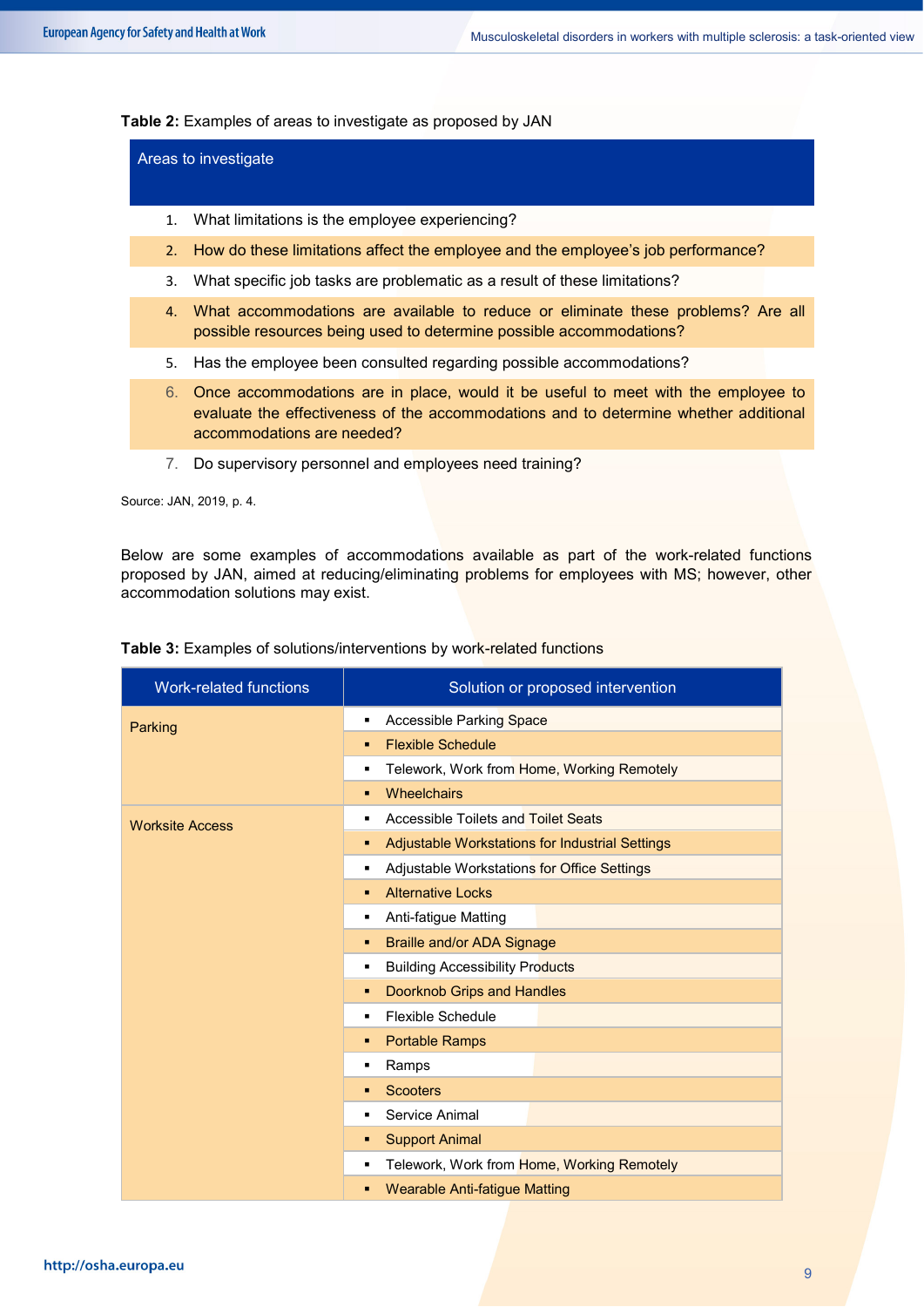**Table 2:** Examples of areas to investigate as proposed by JAN

| Areas to investigate |                                                                                                                                                                                                         |  |
|----------------------|---------------------------------------------------------------------------------------------------------------------------------------------------------------------------------------------------------|--|
| 1.                   | What limitations is the employee experiencing?                                                                                                                                                          |  |
|                      | 2. How do these limitations affect the employee and the employee's job performance?                                                                                                                     |  |
| 3.                   | What specific job tasks are problematic as a result of these limitations?                                                                                                                               |  |
| 4.                   | What accommodations are available to reduce or eliminate these problems? Are all<br>possible resources being used to determine possible accommodations?                                                 |  |
| 5.                   | Has the employee been consulted regarding possible accommodations?                                                                                                                                      |  |
| 6.                   | Once accommodations are in place, would it be useful to meet with the employee to<br>evaluate the effectiveness of the accommodations and to determine whether additional<br>accommodations are needed? |  |
| 7.                   | Do supervisory personnel and employees need training?                                                                                                                                                   |  |
|                      | Source: JAN, 2019, p. 4.                                                                                                                                                                                |  |

Below are some examples of accommodations available as part of the work-related functions proposed by JAN, aimed at reducing/eliminating problems for employees with MS; however, other accommodation solutions may exist.

| <b>Work-related functions</b> | Solution or proposed intervention                    |  |
|-------------------------------|------------------------------------------------------|--|
| Parking                       | <b>Accessible Parking Space</b><br>$\blacksquare$    |  |
|                               | <b>Flexible Schedule</b><br>٠                        |  |
|                               | Telework, Work from Home, Working Remotely<br>٠      |  |
|                               | Wheelchairs                                          |  |
| <b>Worksite Access</b>        | <b>Accessible Toilets and Toilet Seats</b><br>٠      |  |
|                               | Adjustable Workstations for Industrial Settings<br>٠ |  |
|                               | Adjustable Workstations for Office Settings<br>٠     |  |
|                               | <b>Alternative Locks</b>                             |  |
|                               | Anti-fatigue Matting<br>٠                            |  |
|                               | <b>Braille and/or ADA Signage</b><br>٠               |  |
|                               | <b>Building Accessibility Products</b><br>٠          |  |
|                               | Doorknob Grips and Handles                           |  |
|                               | <b>Flexible Schedule</b><br>٠                        |  |
|                               | <b>Portable Ramps</b><br>٠                           |  |
|                               | Ramps<br>٠                                           |  |
|                               | <b>Scooters</b>                                      |  |
|                               | Service Animal<br>٠                                  |  |
|                               | <b>Support Animal</b><br>٠                           |  |
|                               | Telework, Work from Home, Working Remotely<br>٠      |  |
|                               | Wearable Anti-fatigue Matting<br>٠                   |  |

**Table 3:** Examples of solutions/interventions by work-related functions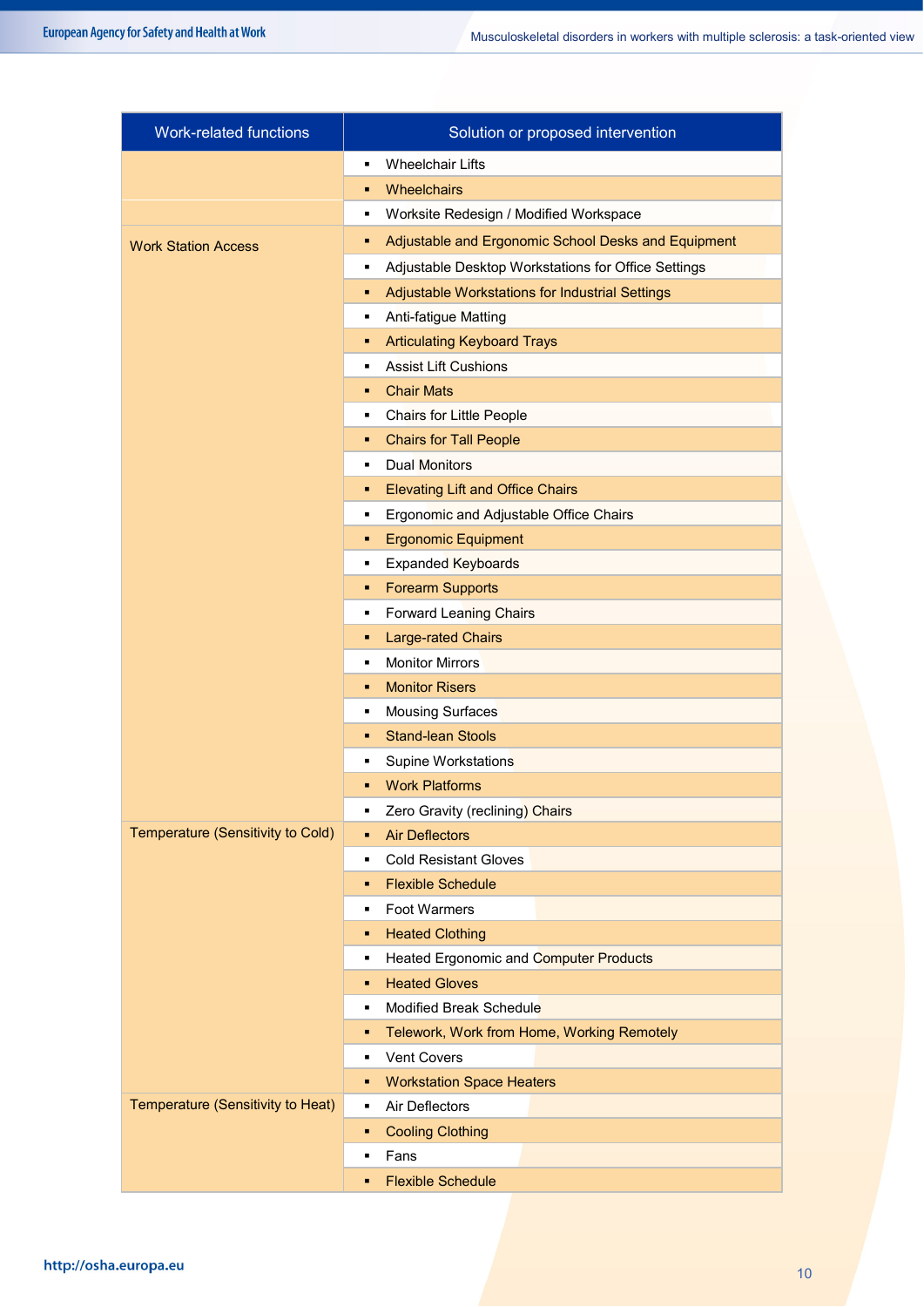| <b>Work-related functions</b>     | Solution or proposed intervention                        |  |
|-----------------------------------|----------------------------------------------------------|--|
|                                   | <b>Wheelchair Lifts</b><br>٠                             |  |
|                                   | <b>Wheelchairs</b><br>٠                                  |  |
|                                   | Worksite Redesign / Modified Workspace<br>٠              |  |
| <b>Work Station Access</b>        | Adjustable and Ergonomic School Desks and Equipment<br>п |  |
|                                   | Adjustable Desktop Workstations for Office Settings<br>٠ |  |
|                                   | Adjustable Workstations for Industrial Settings<br>٠     |  |
|                                   | Anti-fatigue Matting<br>٠                                |  |
|                                   | <b>Articulating Keyboard Trays</b><br>٠                  |  |
|                                   | <b>Assist Lift Cushions</b><br>٠                         |  |
|                                   | <b>Chair Mats</b><br>٠                                   |  |
|                                   | <b>Chairs for Little People</b><br>٠                     |  |
|                                   | <b>Chairs for Tall People</b><br>٠                       |  |
|                                   | <b>Dual Monitors</b><br>٠                                |  |
|                                   | <b>Elevating Lift and Office Chairs</b><br>٠             |  |
|                                   | Ergonomic and Adjustable Office Chairs<br>٠              |  |
|                                   | <b>Ergonomic Equipment</b><br>٠                          |  |
|                                   | <b>Expanded Keyboards</b><br>٠                           |  |
|                                   | <b>Forearm Supports</b><br>٠                             |  |
|                                   | <b>Forward Leaning Chairs</b><br>٠                       |  |
|                                   | <b>Large-rated Chairs</b><br>٠                           |  |
|                                   | <b>Monitor Mirrors</b><br>$\blacksquare$                 |  |
|                                   | <b>Monitor Risers</b><br>٠                               |  |
|                                   | <b>Mousing Surfaces</b><br>٠                             |  |
|                                   | <b>Stand-lean Stools</b><br>п                            |  |
|                                   | Supine Workstations<br>٠                                 |  |
|                                   | <b>Work Platforms</b><br>٠                               |  |
|                                   | Zero Gravity (reclining) Chairs                          |  |
| Temperature (Sensitivity to Cold) | <b>Air Deflectors</b><br>٠                               |  |
|                                   | <b>Cold Resistant Gloves</b><br>٠                        |  |
|                                   | <b>Flexible Schedule</b><br>٠                            |  |
|                                   | Foot Warmers<br>٠                                        |  |
|                                   | <b>Heated Clothing</b><br>٠                              |  |
|                                   | <b>Heated Ergonomic and Computer Products</b><br>٠       |  |
|                                   | <b>Heated Gloves</b><br>٠                                |  |
|                                   | Modified Break Schedule<br>٠                             |  |
|                                   | Telework, Work from Home, Working Remotely<br>٠          |  |
|                                   | <b>Vent Covers</b><br>٠                                  |  |
|                                   | <b>Workstation Space Heaters</b><br>٠                    |  |
| Temperature (Sensitivity to Heat) | Air Deflectors<br>٠                                      |  |
|                                   | <b>Cooling Clothing</b><br>٠                             |  |
|                                   | Fans<br>$\blacksquare$                                   |  |
|                                   | <b>Flexible Schedule</b><br>п                            |  |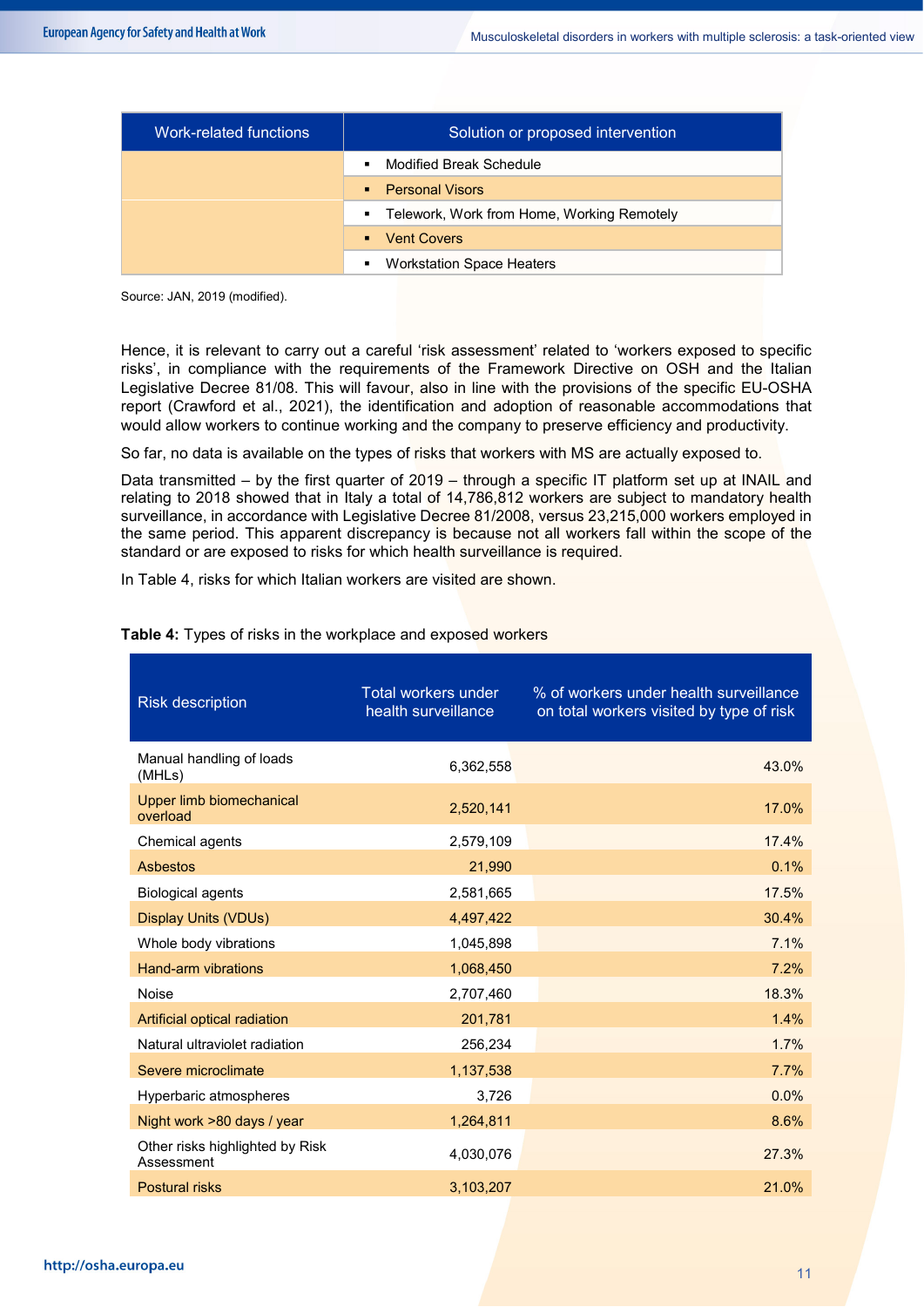| Work-related functions | Solution or proposed intervention                |  |
|------------------------|--------------------------------------------------|--|
|                        | <b>Modified Break Schedule</b><br>$\blacksquare$ |  |
|                        | • Personal Visors                                |  |
|                        | ■ Telework, Work from Home, Working Remotely     |  |
|                        | <b>Vent Covers</b><br>$\blacksquare$             |  |
|                        | <b>Workstation Space Heaters</b><br>٠            |  |

Source: JAN, 2019 (modified).

Hence, it is relevant to carry out a careful 'risk assessment' related to 'workers exposed to specific risks', in compliance with the requirements of the Framework Directive on OSH and the Italian Legislative Decree 81/08. This will favour, also in line with the provisions of the specific EU-OSHA report (Crawford et al., 2021), the identification and adoption of reasonable accommodations that would allow workers to continue working and the company to preserve efficiency and productivity.

So far, no data is available on the types of risks that workers with MS are actually exposed to.

Data transmitted – by the first quarter of 2019 – through a specific IT platform set up at INAIL and relating to 2018 showed that in Italy a total of 14,786,812 workers are subject to mandatory health surveillance, in accordance with Legislative Decree 81/2008, versus 23,215,000 workers employed in the same period. This apparent discrepancy is because not all workers fall within the scope of the standard or are exposed to risks for which health surveillance is required.

In Table 4, risks for which Italian workers are visited are shown.

| <b>Risk description</b>                       | Total workers under<br>health surveillance | % of workers under health surveillance<br>on total workers visited by type of risk |
|-----------------------------------------------|--------------------------------------------|------------------------------------------------------------------------------------|
| Manual handling of loads<br>(MHLs)            | 6,362,558                                  | 43.0%                                                                              |
| Upper limb biomechanical<br>overload          | 2,520,141                                  | 17.0%                                                                              |
| Chemical agents                               | 2,579,109                                  | 17.4%                                                                              |
| Asbestos                                      | 21,990                                     | 0.1%                                                                               |
| <b>Biological agents</b>                      | 2,581,665                                  | 17.5%                                                                              |
| Display Units (VDUs)                          | 4,497,422                                  | 30.4%                                                                              |
| Whole body vibrations                         | 1,045,898                                  | 7.1%                                                                               |
| Hand-arm vibrations                           | 1,068,450                                  | 7.2%                                                                               |
| <b>Noise</b>                                  | 2,707,460                                  | 18.3%                                                                              |
| Artificial optical radiation                  | 201,781                                    | 1.4%                                                                               |
| Natural ultraviolet radiation                 | 256,234                                    | 1.7%                                                                               |
| Severe microclimate                           | 1,137,538                                  | 7.7%                                                                               |
| Hyperbaric atmospheres                        | 3,726                                      | 0.0%                                                                               |
| Night work >80 days / year                    | 1,264,811                                  | 8.6%                                                                               |
| Other risks highlighted by Risk<br>Assessment | 4,030,076                                  | 27.3%                                                                              |
| <b>Postural risks</b>                         | 3,103,207                                  | 21.0%                                                                              |

### **Table 4:** Types of risks in the workplace and exposed workers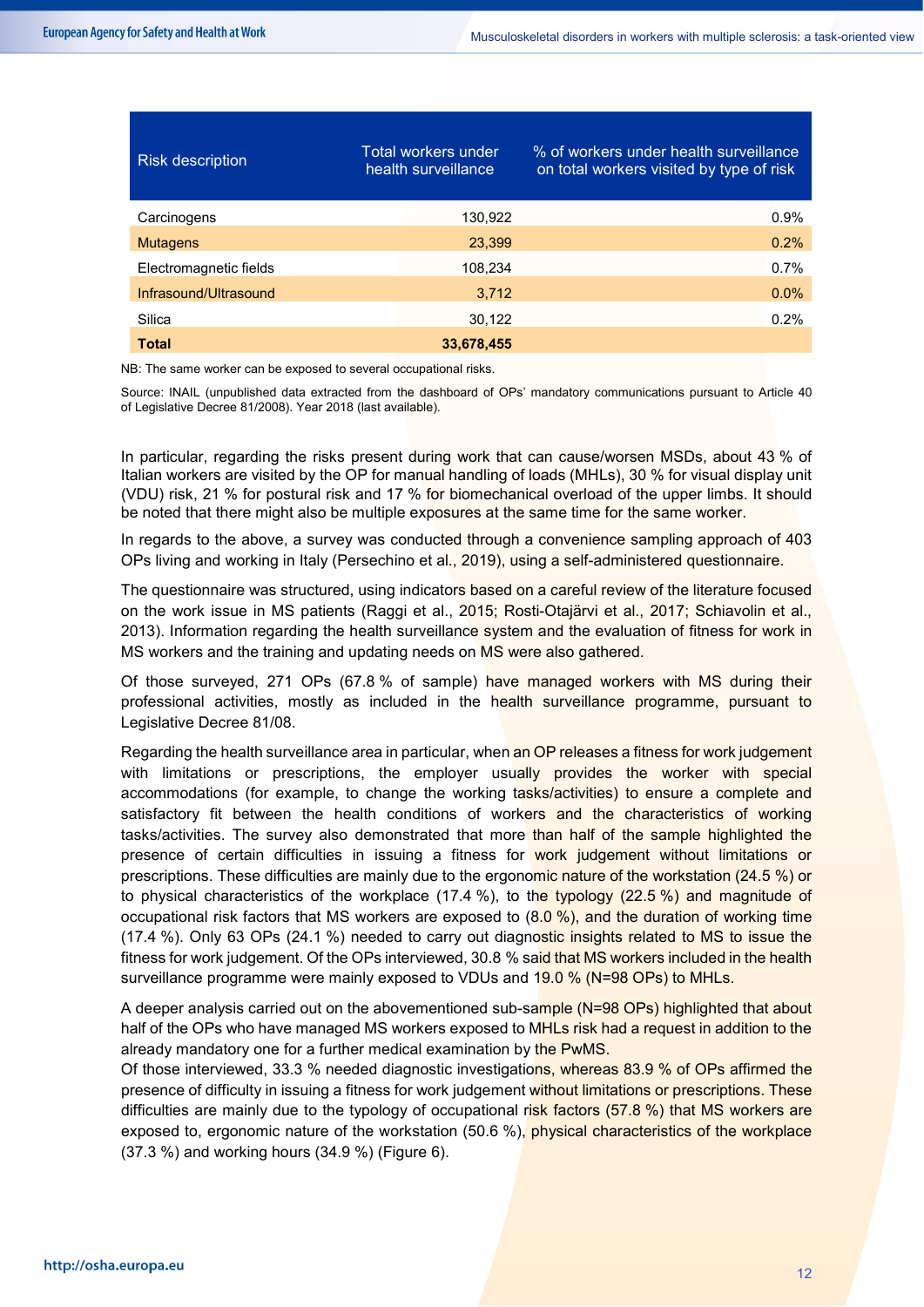| <b>Risk description</b> | Total workers under<br>health surveillance | % of workers under health surveillance<br>on total workers visited by type of risk |
|-------------------------|--------------------------------------------|------------------------------------------------------------------------------------|
| Carcinogens             | 130,922                                    | 0.9%                                                                               |
| <b>Mutagens</b>         | 23,399                                     | 0.2%                                                                               |
| Electromagnetic fields  | 108,234                                    | 0.7%                                                                               |
| Infrasound/Ultrasound   | 3,712                                      | $0.0\%$                                                                            |
| Silica                  | 30,122                                     | 0.2%                                                                               |
| <b>Total</b>            | 33,678,455                                 |                                                                                    |

NB: The same worker can be exposed to several occupational risks.

Source: INAIL (unpublished data extracted from the dashboard of OPs' mandatory communications pursuant to Article 40 of Legislative Decree 81/2008). Year 2018 (last available).

In particular, regarding the risks present during work that can cause/worsen MSDs, about 43 % of Italian workers are visited by the OP for manual handling of loads (MHLs), 30 % for visual display unit (VDU) risk, 21 % for postural risk and 17 % for biomechanical overload of the upper limbs. It should be noted that there might also be multiple exposures at the same time for the same worker.

In regards to the above, a survey was conducted through a convenience sampling approach of 403 OPs living and working in Italy (Persechino et al., 2019), using a self-administered questionnaire.

The questionnaire was structured, using indicators based on a careful review of the literature focused on the work issue in MS patients (Raggi et al., 2015; Rosti-Otajärvi et al., 2017; Schiavolin et al., 2013). Information regarding the health surveillance system and the evaluation of fitness for work in MS workers and the training and updating needs on MS were also gathered.

Of those surveyed, 271 OPs (67.8 % of sample) have managed workers with MS during their professional activities, mostly as included in the health surveillance programme, pursuant to Legislative Decree 81/08.

Regarding the health surveillance area in particular, when an OP releases a fitness for work judgement with limitations or prescriptions, the employer usually provides the worker with special accommodations (for example, to change the working tasks/activities) to ensure a complete and satisfactory fit between the health conditions of workers and the characteristics of working tasks/activities. The survey also demonstrated that more than half of the sample highlighted the presence of certain difficulties in issuing a fitness for work judgement without limitations or prescriptions. These difficulties are mainly due to the ergonomic nature of the workstation (24.5 %) or to physical characteristics of the workplace  $(17.4\%)$ , to the typology  $(22.5\%)$  and magnitude of occupational risk factors that MS workers are exposed to  $(8.0\%)$ , and the duration of working time (17.4 %). Only 63 OPs (24.1 %) needed to carry out diagnostic insights related to MS to issue the fitness for work judgement. Of the OPs interviewed, 30.8 % said that MS workers included in the health surveillance programme were mainly exposed to VDUs and 19.0 % (N=98 OPs) to MHLs.

A deeper analysis carried out on the abovementioned sub-sample (N=98 OPs) highlighted that about half of the OPs who have managed MS workers exposed to MHLs risk had a request in addition to the already mandatory one for a further medical examination by the PwMS.

Of those interviewed, 33.3 % needed diagnostic investigations, whereas 83.9 % of OPs affirmed the presence of difficulty in issuing a fitness for work judgement without limitations or prescriptions. These difficulties are mainly due to the typology of occupational risk factors (57.8 %) that MS workers are exposed to, ergonomic nature of the workstation (50.6 %), physical characteristics of the workplace (37.3 %) and working hours (34.9 %) (Figure 6).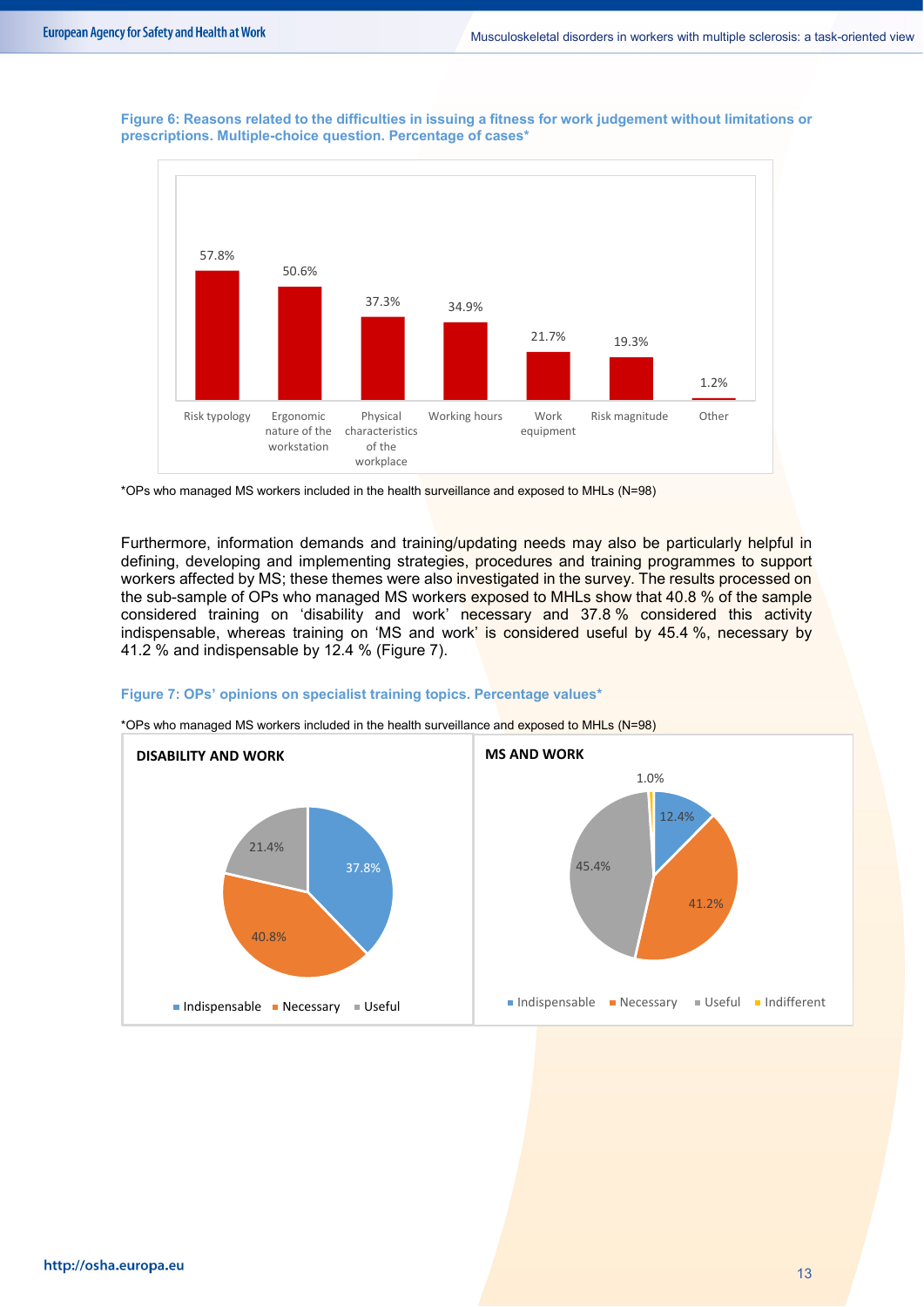**Figure 6: Reasons related to the difficulties in issuing a fitness for work judgement without limitations or prescriptions. Multiple-choice question. Percentage of cases\***



<sup>\*</sup>OPs who managed MS workers included in the health surveillance and exposed to MHLs (N=98)

Furthermore, information demands and training/updating needs may also be particularly helpful in defining, developing and implementing strategies, procedures and training programmes to support workers affected by MS; these themes were also investigated in the survey. The results processed on the sub-sample of OPs who managed MS workers exposed to MHLs show that 40.8 % of the sample considered training on 'disability and work' necessary and 37.8 % considered this activity indispensable, whereas training on 'MS and work' is considered useful by 45.4 %, necessary by 41.2 % and indispensable by 12.4 % (Figure 7).

### **Figure 7: OPs' opinions on specialist training topics. Percentage values\***



\*OPs who managed MS workers included in the health surveillance and exposed to MHLs (N=98)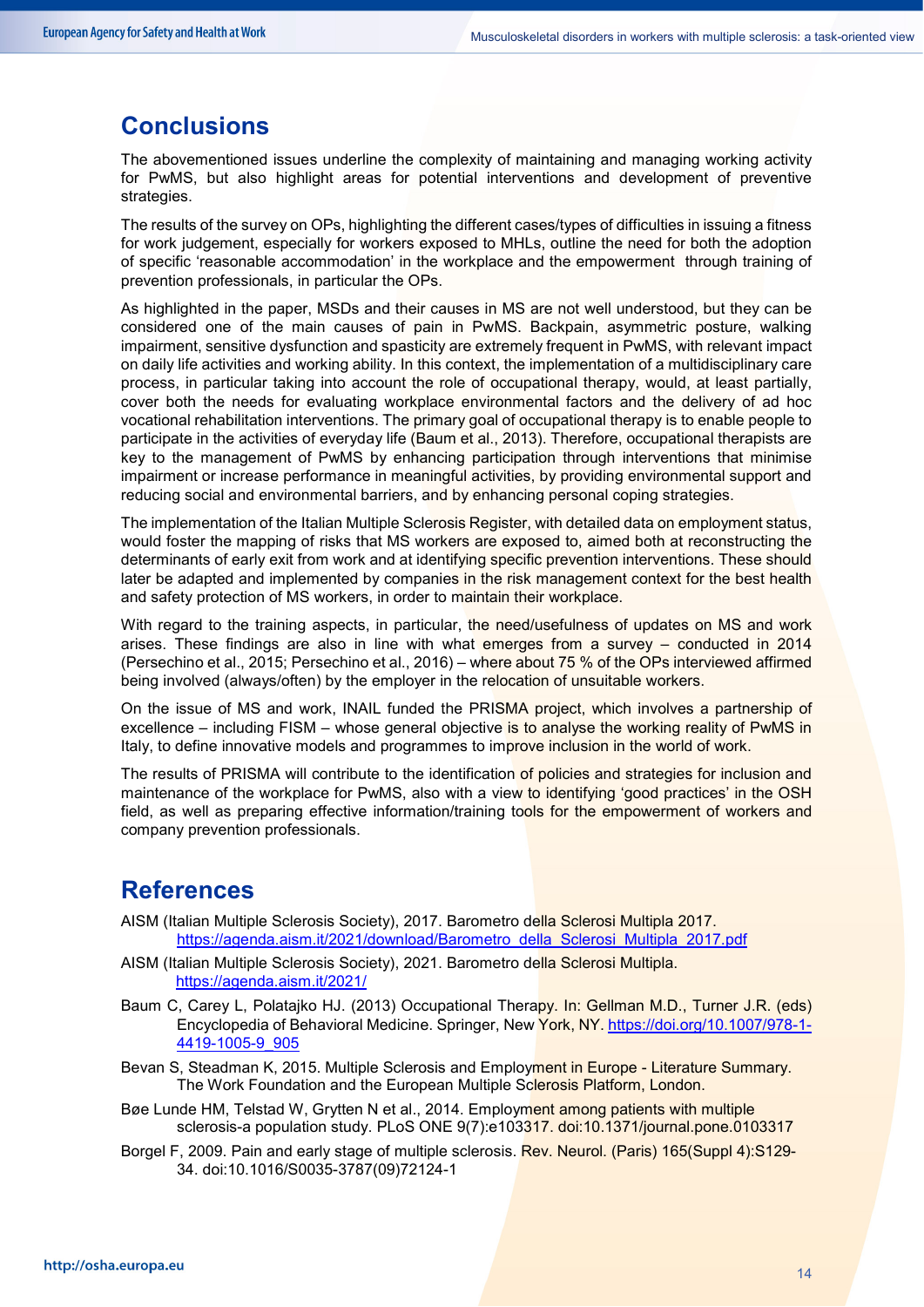# **Conclusions**

The abovementioned issues underline the complexity of maintaining and managing working activity for PwMS, but also highlight areas for potential interventions and development of preventive strategies.

The results of the survey on OPs, highlighting the different cases/types of difficulties in issuing a fitness for work judgement, especially for workers exposed to MHLs, outline the need for both the adoption of specific 'reasonable accommodation' in the workplace and the empowerment through training of prevention professionals, in particular the OPs.

As highlighted in the paper, MSDs and their causes in MS are not well understood, but they can be considered one of the main causes of pain in PwMS. Backpain, asymmetric posture, walking impairment, sensitive dysfunction and spasticity are extremely frequent in PwMS, with relevant impact on daily life activities and working ability. In this context, the implementation of a multidisciplinary care process, in particular taking into account the role of occupational therapy, would, at least partially, cover both the needs for evaluating workplace environmental factors and the delivery of ad hoc vocational rehabilitation interventions. The primary goal of occupational therapy is to enable people to participate in the activities of everyday life (Baum et al., 2013). Therefore, occupational therapists are key to the management of PwMS by enhancing participation through interventions that minimise impairment or increase performance in meaningful activities, by providing environmental support and reducing social and environmental barriers, and by enhancing personal coping strategies.

The implementation of the Italian Multiple Sclerosis Register, with detailed data on employment status, would foster the mapping of risks that MS workers are exposed to, aimed both at reconstructing the determinants of early exit from work and at identifying specific prevention interventions. These should later be adapted and implemented by companies in the risk management context for the best health and safety protection of MS workers, in order to maintain their [workplace.](https://context.reverso.net/traduzione/inglese-italiano/workplace)

With regard to the training aspects, in particular, the need/usefulness of updates on MS and work arises. These findings are also in line with what emerges from a survey – conducted in 2014 (Persechino et al., 2015; Persechino et al., 2016) – where about 75 % of the OPs interviewed affirmed being involved (always/often) by the employer in the relocation of unsuitable workers.

On the issue of MS and work, INAIL funded the PRISMA project, which involves a partnership of excellence – including FISM – whose general objective is to analyse the working reality of PwMS in Italy, to define innovative models and programmes to improve inclusion in the world of work.

The results of PRISMA will contribute to the identification of policies and strategies for inclusion and maintenance of the workplace for PwMS, also with a view to identifying 'good practices' in the OSH field, as well as preparing effective information/training tools for the empowerment of workers and company prevention professionals.

# **References**

- AISM (Italian Multiple Sclerosis Society), 2017. Barometro della Sclerosi Multipla 2017. [https://agenda.aism.it/2021/download/Barometro\\_della\\_Sclerosi\\_Multipla\\_2017.pdf](https://agenda.aism.it/2021/download/Barometro_della_Sclerosi_Multipla_2017.pdf)
- AISM (Italian Multiple Sclerosis Society), 2021. Barometro della Sclerosi Multipla. <https://agenda.aism.it/2021/>
- Baum C, Carey L, Polatajko HJ. (2013) Occupational Therapy. In: Gellman M.D., Turner J.R. (eds) Encyclopedia of Behavioral Medicine. Springer, New York, NY. [https://doi.org/10.1007/978-1-](https://doi.org/10.1007/978-1-4419-1005-9_905) [4419-1005-9\\_905](https://doi.org/10.1007/978-1-4419-1005-9_905)
- Bevan S, Steadman K, 2015. Multiple Sclerosis and Employment in Europe Literature Summary. The Work Foundation and the European Multiple Sclerosis Platform, London.
- Bøe Lunde HM, Telstad W, Grytten N et al., 2014. Employment among patients with multiple sclerosis-a population study. PLoS ONE 9(7):e103317[. doi:10.1371/journal.pone.0103317](https://doi.org/10.1371/journal.pone.0103317)
- Borgel F, 2009. Pain and early stage of multiple sclerosis. Rev. Neurol. (Paris) 165(Suppl 4):S129- 34. doi:10.1016/S0035-3787(09)72124-1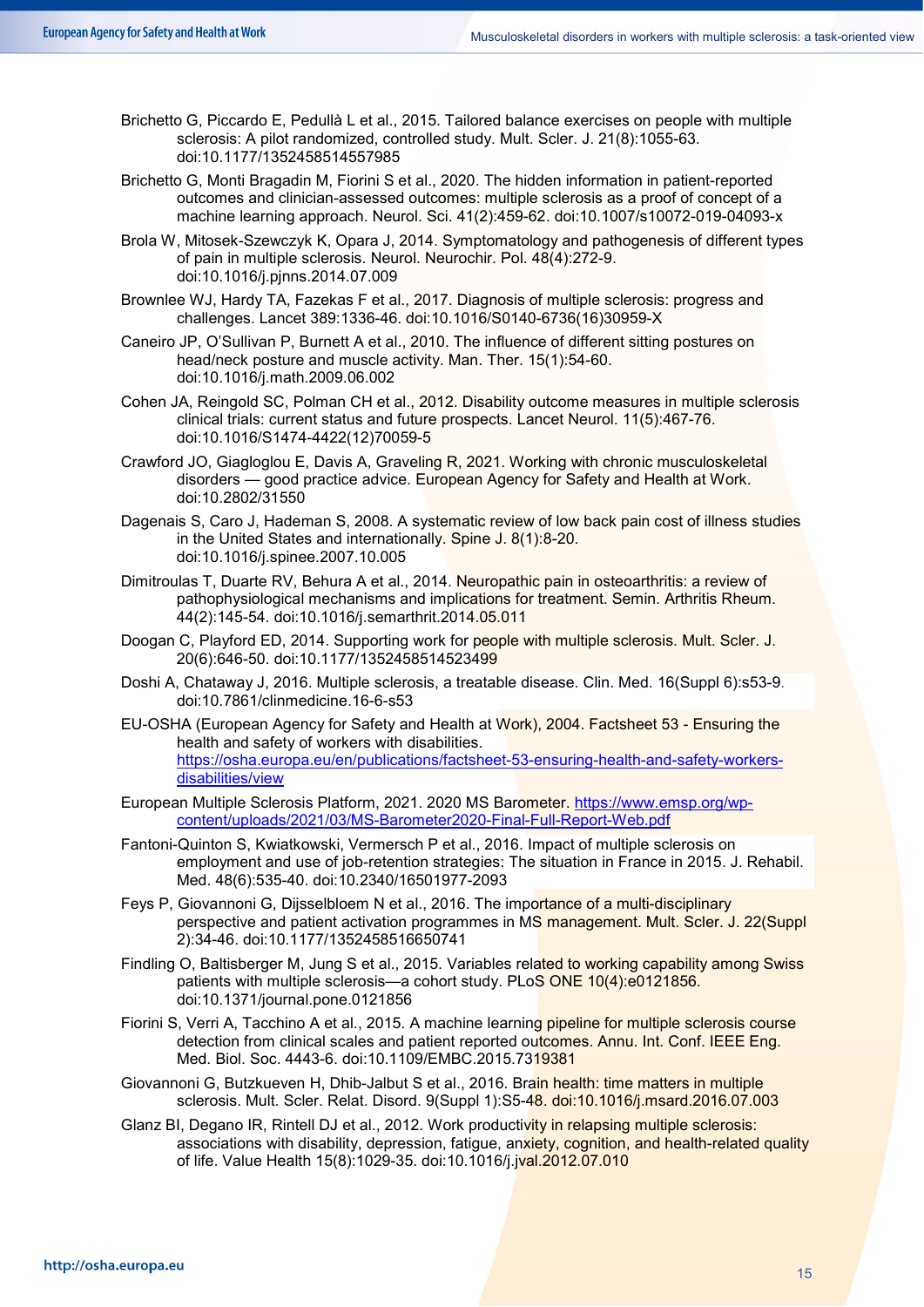- Brichetto G, Piccardo E, Pedullà L et al., 2015. Tailored balance exercises on people with multiple sclerosis: A pilot randomized, controlled study. Mult. Scler. J. 21(8):1055-63. doi:10.1177/1352458514557985
- Brichetto G, Monti Bragadin M, Fiorini S et al., 2020. The hidden information in patient-reported outcomes and clinician-assessed outcomes: multiple sclerosis as a proof of concept of a machine learning approach. Neurol. Sci. 41(2):459-62. doi:10.1007/s10072-019-04093-x
- Brola W, Mitosek-Szewczyk K, Opara J, 2014. Symptomatology and pathogenesis of different types of pain in multiple sclerosis. Neurol. Neurochir. Pol. 48(4):272-9. doi:10.1016/j.pjnns.2014.07.009
- Brownlee WJ, Hardy TA, Fazekas F et al., 2017. Diagnosis of multiple sclerosis: progress and challenges. Lancet 389:1336-46. doi:10.1016/S0140-6736(16)30959-X
- Caneiro JP, O'Sullivan P, Burnett A et al., 2010. The influence of different sitting postures on head/neck posture and muscle activity. Man. Ther. 15(1):54-60. doi:10.1016/j.math.2009.06.002
- Cohen JA, Reingold SC, Polman CH et al., 2012. Disability outcome measures in multiple sclerosis clinical trials: current status and future prospects. Lancet Neurol. 11(5):467-76. doi:10.1016/S1474-4422(12)70059-5
- Crawford JO, Giagloglou E, Davis A, Graveling R, 2021. Working with chronic musculoskeletal disorders — good practice advice. European Agency for Safety and Health at Work. doi:10.2802/31550
- Dagenais S, Caro J, Hademan S, 2008. A systematic review of low back pain cost of illness studies in the United States and internationally. Spine J. 8(1):8-20. doi:10.1016/j.spinee.2007.10.005
- Dimitroulas T, Duarte RV, Behura A et al., 2014. Neuropathic pain in osteoarthritis: a review of pathophysiological mechanisms and implications for treatment. Semin. Arthritis Rheum. 44(2):145-54. doi:10.1016/j.semarthrit.2014.05.011
- Doogan C, Playford ED, 2014. Supporting work for people with multiple sclerosis. Mult. Scler. J. 20(6):646-50. doi:10.1177/1352458514523499
- Doshi A, Chataway J, 2016. Multiple sclerosis, a treatable disease. Clin. Med. 16(Suppl 6):s53-9. doi:10.7861/clinmedicine.16-6-s53
- EU-OSHA (European Agency for Safety and Health at Work), 2004. Factsheet 53 Ensuring the health and safety of workers with disabilities. [https://osha.europa.eu/en/publications/factsheet-53-ensuring-health-and-safety-workers](https://osha.europa.eu/en/publications/factsheet-53-ensuring-health-and-safety-workers-disabilities/view)[disabilities/view](https://osha.europa.eu/en/publications/factsheet-53-ensuring-health-and-safety-workers-disabilities/view)
- European Multiple Sclerosis Platform, 2021. 2020 MS Barometer. [https://www.emsp.org/wp](https://www.emsp.org/wp-content/uploads/2021/03/MS-Barometer2020-Final-Full-Report-Web.pdf)[content/uploads/2021/03/MS-Barometer2020-Final-Full-Report-Web.pdf](https://www.emsp.org/wp-content/uploads/2021/03/MS-Barometer2020-Final-Full-Report-Web.pdf)
- Fantoni-Quinton S, Kwiatkowski, Vermersch P et al., 2016. Impact of multiple sclerosis on employment and use of job-retention strategies: The situation in France in 2015. J. Rehabil. Med. 48(6):535-40. doi:10.2340/16501977-2093
- Feys P, Giovannoni G, Dijsselbloem N et al., 2016. The importance of a multi-disciplinary perspective and patient activation programmes in MS management. Mult. Scler. J. 22(Suppl 2):34-46. doi:10.1177/1352458516650741
- Findling O, Baltisberger M, Jung S et al., 2015. Variables related to working capability among Swiss patients with multiple sclerosis—a cohort study. PLoS ONE 10(4):e0121856. doi:10.1371/journal.pone.0121856
- Fiorini S, Verri A, Tacchino A et al., 2015. A machine learning pipeline for multiple sclerosis course detection from clinical scales and patient reported outcomes. Annu. Int. Conf. IEEE Eng. Med. Biol. Soc. 4443-6. doi:10.1109/EMBC.2015.7319381
- Giovannoni G, Butzkueven H, Dhib-Jalbut S et al., 2016. Brain health: time matters in multiple sclerosis. Mult. Scler. Relat. Disord. 9(Suppl 1):S5-48. doi:10.1016/j.msard.2016.07.003
- Glanz BI, Degano IR, Rintell DJ et al., 2012. Work productivity in relapsing multiple sclerosis: associations with disability, depression, fatigue, anxiety, cognition, and health-related quality of life. Value Health 15(8):1029-35. doi:10.1016/j.jval.2012.07.010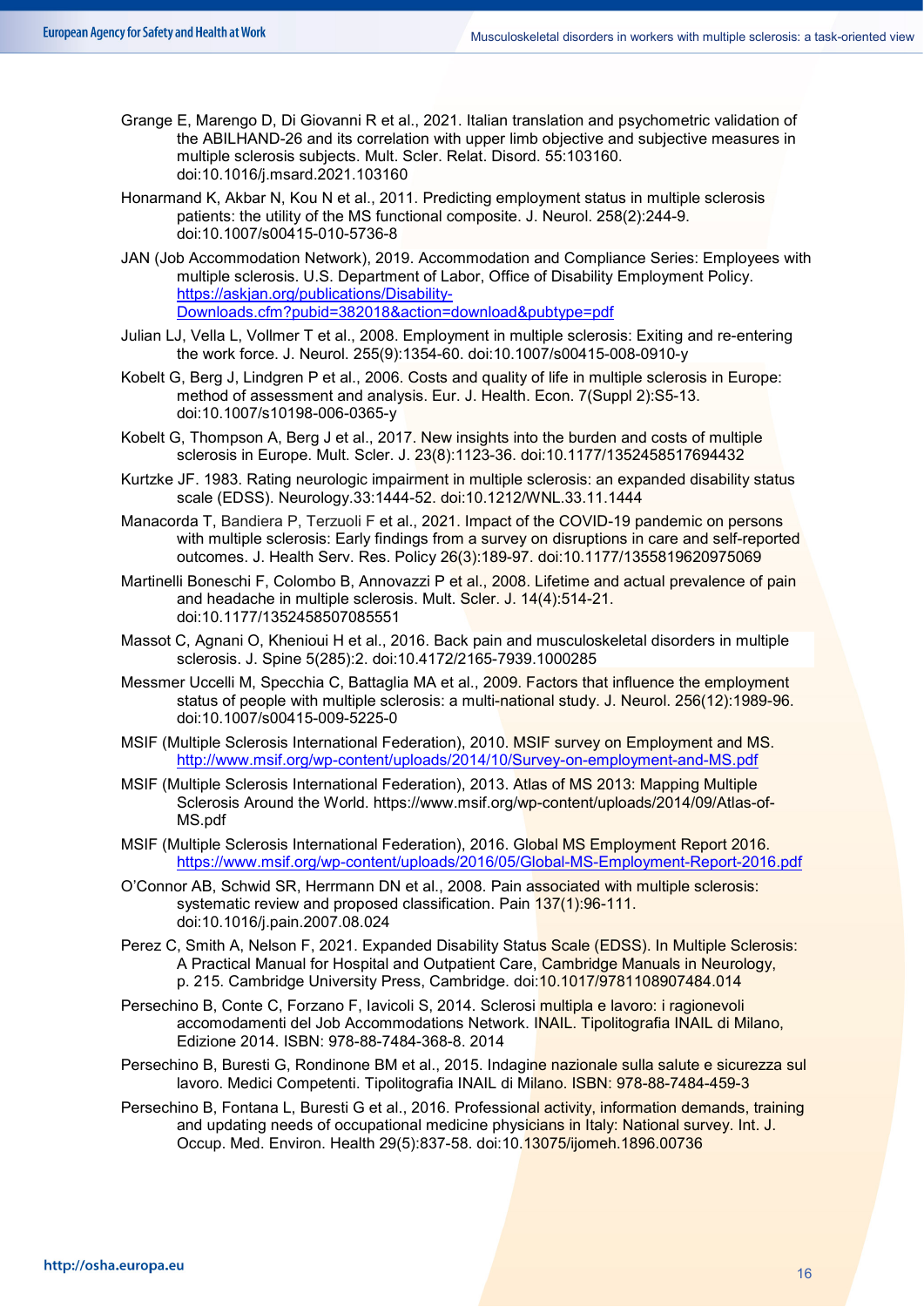- Grange E, Marengo D, Di Giovanni R et al., 2021. Italian translation and psychometric validation of the ABILHAND-26 and its correlation with upper limb objective and subjective measures in multiple sclerosis subjects. Mult. Scler. Relat. Disord. 55:103160. doi:10.1016/j.msard.2021.103160
- Honarmand K, Akbar N, Kou N et al., 2011. Predicting employment status in multiple sclerosis patients: the utility of the MS functional composite. J. Neurol. 258(2):244-9. doi:10.1007/s00415-010-5736-8
- JAN (Job Accommodation Network), 2019. Accommodation and Compliance Series: Employees with multiple sclerosis. U.S. Department of Labor, Office of Disability Employment Policy. [https://askjan.org/publications/Disability-](https://askjan.org/publications/Disability-Downloads.cfm?pubid=382018&action=download&pubtype=pdf)[Downloads.cfm?pubid=382018&action=download&pubtype=pdf](https://askjan.org/publications/Disability-Downloads.cfm?pubid=382018&action=download&pubtype=pdf)
- Julian LJ, Vella L, Vollmer T et al., 2008. Employment in multiple sclerosis: Exiting and re-entering the work force. J. Neurol. 255(9):1354-60. doi:10.1007/s00415-008-0910-y
- Kobelt G, Berg J, Lindgren P et al., 2006. Costs and quality of life in multiple sclerosis in Europe: method of assessment and analysis. Eur. J. Health. Econ. 7(Suppl 2):S5-13. doi:10.1007/s10198-006-0365-y
- Kobelt G, Thompson A, Berg J et al., 2017. New insights into the burden and costs of multiple sclerosis in Europe. Mult. Scler. J. 23(8):1123-36. doi:10.1177/1352458517694432
- Kurtzke JF. 1983. Rating neurologic impairment in multiple sclerosis: an expanded disability status scale (EDSS). Neurology.33:1444-52. doi:10.1212/WNL.33.11.1444
- Manacorda T, Bandiera P, Terzuoli F et al., 2021. Impact of the COVID-19 pandemic on persons with multiple sclerosis: Early findings from a survey on disruptions in care and self-reported outcomes. J. Health Serv. Res. Policy 26(3):189-97. doi:10.1177/1355819620975069
- Martinelli Boneschi F, Colombo B, Annovazzi P et al., 2008. Lifetime and actual prevalence of pain and headache in multiple sclerosis. Mult. Scler. J. 14(4):514-21. doi:10.1177/1352458507085551
- Massot C, Agnani O, Khenioui H et al., 2016. Back pain and musculoskeletal disorders in multiple sclerosis. J. Spine 5(285):2. doi:10.4172/2165-7939.1000285
- Messmer Uccelli M, Specchia C, Battaglia MA et al., 2009. Factors that influence the employment status of people with multiple sclerosis: a multi-national study. J. Neurol. 256(12):1989-96. doi:10.1007/s00415-009-5225-0
- MSIF (Multiple Sclerosis International Federation), 2010. MSIF survey on Employment and MS. <http://www.msif.org/wp-content/uploads/2014/10/Survey-on-employment-and-MS.pdf>
- MSIF (Multiple Sclerosis International Federation), 2013. Atlas of MS 2013: Mapping Multiple Sclerosis Around the World. https://www.msif.org/wp-content/uploads/2014/09/Atlas-of-MS.pdf
- MSIF (Multiple Sclerosis International Federation), 2016. Global MS Employment Report 2016. <https://www.msif.org/wp-content/uploads/2016/05/Global-MS-Employment-Report-2016.pdf>
- O'Connor AB, Schwid SR, Herrmann DN et al., 2008. Pain associated with multiple sclerosis: systematic review and proposed classification. Pain  $137(1)$ :96-111. doi:10.1016/j.pain.2007.08.024
- Perez C, Smith A, Nelson F, 2021. Expanded Disability Status Scale (EDSS). In Multiple Sclerosis: A Practical Manual for Hospital and Outpatient Care, Cambridge Manuals in Neurology, p. 215. Cambridge University Press, Cambridge. doi:10.1017/9781108907484.014
- Persechino B, Conte C, Forzano F, Iavicoli S, 2014. Sclerosi multipla e lavoro: i ragionevoli accomodamenti del Job Accommodations Network. INAIL. Tipolitografia INAIL di Milano, Edizione 2014. ISBN: 978-88-7484-368-8. 2014
- Persechino B, Buresti G, Rondinone BM et al., 2015. Indagine nazionale sulla salute e sicurezza sul lavoro. Medici Competenti. Tipolitografia INAIL di Milano. ISBN: 978-88-7484-459-3
- Persechino B, Fontana L, Buresti G et al., 2016. Professional activity, information demands, training and updating needs of occupational medicine physicians in Italy: National survey. Int. J. Occup. Med. Environ. Health 29(5):837-58. doi:10.13075/ijomeh.1896.00736